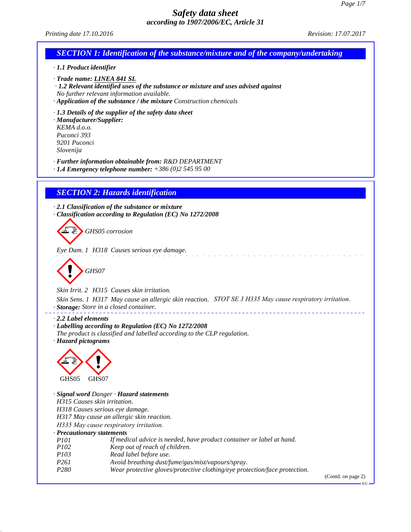

(Contd. on page 2)

EU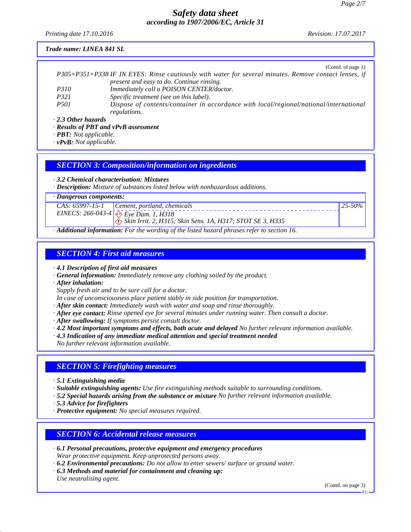*Printing date 17.10.2016 Revision: 17.07.2017*

#### *Trade name: LINEA 841 SL*

|                           | (Contd. of page 1)                                                                                    |
|---------------------------|-------------------------------------------------------------------------------------------------------|
|                           | P305+P351+P338 IF IN EYES: Rinse cautiously with water for several minutes. Remove contact lenses, if |
|                           | present and easy to do. Continue rinsing.                                                             |
| <i>P310</i>               | Immediately call a POISON CENTER/doctor.                                                              |
| P321                      | Specific treatment (see on this label).                                                               |
| <i>P501</i>               | Dispose of contents/container in accordance with local/regional/national/international                |
|                           | regulations.                                                                                          |
| $\cdot$ 2.3 Other hazards |                                                                                                       |

*· Results of PBT and vPvB assessment*

*· PBT: Not applicable.*

*· vPvB: Not applicable.*

### *SECTION 3: Composition/information on ingredients*

*· 3.2 Chemical characterisation: Mixtures*

*· Description: Mixture of substances listed below with nonhazardous additions.*

*· Dangerous components:*

|   | $125 - 50\%$<br>$CAS: 65997-15-1$ Cement, portland, chemicals                     |  |  |
|---|-----------------------------------------------------------------------------------|--|--|
|   | EINECS: 266-043-4 $\leftrightarrow$ Eye Dam. 1, H318                              |  |  |
|   | $\langle \cdot \rangle$ Skin Irrit. 2, H315; Skin Sens. 1A, H317; STOT SE 3, H335 |  |  |
| . |                                                                                   |  |  |

*· Additional information: For the wording of the listed hazard phrases refer to section 16.*

### *SECTION 4: First aid measures*

*· 4.1 Description of first aid measures*

- *· General information: Immediately remove any clothing soiled by the product.*
- *· After inhalation:*

*Supply fresh air and to be sure call for a doctor.*

*In case of unconsciousness place patient stably in side position for transportation.*

*· After skin contact: Immediately wash with water and soap and rinse thoroughly.*

- *· After eye contact: Rinse opened eye for several minutes under running water. Then consult a doctor.*
- *· After swallowing: If symptoms persist consult doctor.*
- *· 4.2 Most important symptoms and effects, both acute and delayed No further relevant information available.*
- *· 4.3 Indication of any immediate medical attention and special treatment needed*

*No further relevant information available.*

# *SECTION 5: Firefighting measures*

*· 5.1 Extinguishing media*

*· Suitable extinguishing agents: Use fire extinguishing methods suitable to surrounding conditions.*

- *· 5.2 Special hazards arising from the substance or mixture No further relevant information available.*
- *· 5.3 Advice for firefighters*
- *· Protective equipment: No special measures required.*

# *SECTION 6: Accidental release measures*

- *· 6.1 Personal precautions, protective equipment and emergency procedures Wear protective equipment. Keep unprotected persons away.*
- *· 6.2 Environmental precautions: Do not allow to enter sewers/ surface or ground water.*
- *· 6.3 Methods and material for containment and cleaning up: Use neutralising agent.*

(Contd. on page 3)

EU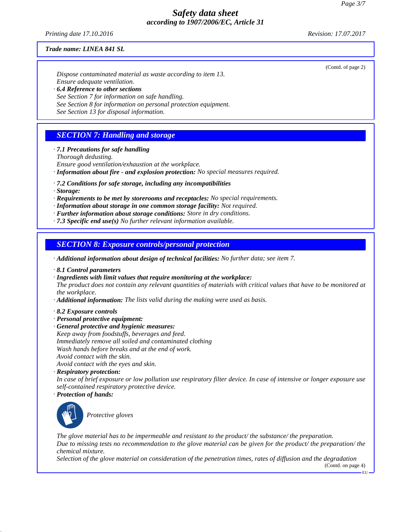*Printing date 17.10.2016 Revision: 17.07.2017*

(Contd. of page 2)

#### *Trade name: LINEA 841 SL*

*Dispose contaminated material as waste according to item 13. Ensure adequate ventilation. · 6.4 Reference to other sections See Section 7 for information on safe handling.*

*See Section 8 for information on personal protection equipment.*

*See Section 13 for disposal information.*

# *SECTION 7: Handling and storage*

*· 7.1 Precautions for safe handling*

*Thorough dedusting.*

*Ensure good ventilation/exhaustion at the workplace.*

- *· Information about fire and explosion protection: No special measures required.*
- *· 7.2 Conditions for safe storage, including any incompatibilities*
- *· Storage:*
- *· Requirements to be met by storerooms and receptacles: No special requirements.*
- *· Information about storage in one common storage facility: Not required.*
- *· Further information about storage conditions: Store in dry conditions.*
- *· 7.3 Specific end use(s) No further relevant information available.*

### *SECTION 8: Exposure controls/personal protection*

*· Additional information about design of technical facilities: No further data; see item 7.*

- *· 8.1 Control parameters*
- *· Ingredients with limit values that require monitoring at the workplace:*

*The product does not contain any relevant quantities of materials with critical values that have to be monitored at the workplace.*

- *· Additional information: The lists valid during the making were used as basis.*
- *· 8.2 Exposure controls*
- *· Personal protective equipment:*
- *· General protective and hygienic measures:*
- *Keep away from foodstuffs, beverages and feed. Immediately remove all soiled and contaminated clothing Wash hands before breaks and at the end of work. Avoid contact with the skin. Avoid contact with the eyes and skin.*
- *· Respiratory protection:*

*In case of brief exposure or low pollution use respiratory filter device. In case of intensive or longer exposure use self-contained respiratory protective device.*

*· Protection of hands:*



\_S*Protective gloves*

*The glove material has to be impermeable and resistant to the product/ the substance/ the preparation. Due to missing tests no recommendation to the glove material can be given for the product/ the preparation/ the chemical mixture.*

*Selection of the glove material on consideration of the penetration times, rates of diffusion and the degradation*

(Contd. on page 4) EU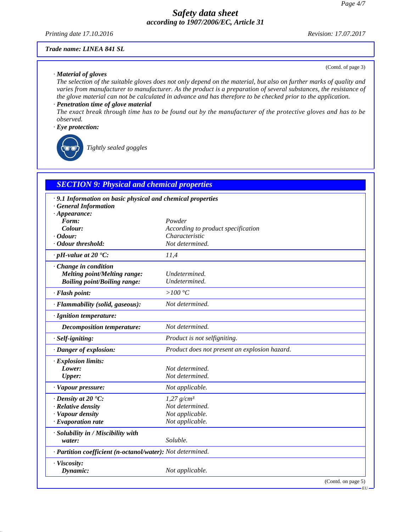*Printing date 17.10.2016 Revision: 17.07.2017*

(Contd. of page 3)

#### *Trade name: LINEA 841 SL*

#### *· Material of gloves*

*The selection of the suitable gloves does not only depend on the material, but also on further marks of quality and varies from manufacturer to manufacturer. As the product is a preparation of several substances, the resistance of the glove material can not be calculated in advance and has therefore to be checked prior to the application.*

### *· Penetration time of glove material*

*The exact break through time has to be found out by the manufacturer of the protective gloves and has to be observed.*

### *· Eye protection:*



\_R*Tightly sealed goggles*

### *SECTION 9: Physical and chemical properties*

| · 9.1 Information on basic physical and chemical properties<br><b>General Information</b> |                                               |
|-------------------------------------------------------------------------------------------|-----------------------------------------------|
| $\cdot$ Appearance:                                                                       |                                               |
| Form:                                                                                     | Powder                                        |
| Colour:                                                                                   | According to product specification            |
| $\cdot$ Odour:                                                                            | Characteristic                                |
| · Odour threshold:                                                                        | Not determined.                               |
| $\cdot$ pH-value at 20 $\textdegree$ C:                                                   | 11,4                                          |
| · Change in condition                                                                     |                                               |
| <b>Melting point/Melting range:</b>                                                       | Undetermined.                                 |
| <b>Boiling point/Boiling range:</b>                                                       | Undetermined.                                 |
| · Flash point:                                                                            | $>100\,^{\circ}\mathrm{C}$                    |
| · Flammability (solid, gaseous):                                                          | Not determined.                               |
| · Ignition temperature:                                                                   |                                               |
| <b>Decomposition temperature:</b>                                                         | Not determined.                               |
| · Self-igniting:                                                                          | Product is not selfigniting.                  |
| · Danger of explosion:                                                                    | Product does not present an explosion hazard. |
| · Explosion limits:                                                                       |                                               |
| Lower:                                                                                    | Not determined.                               |
| <b>Upper:</b>                                                                             | Not determined.                               |
| · Vapour pressure:                                                                        | Not applicable.                               |
| $\cdot$ Density at 20 $\degree$ C:                                                        | $1,27$ g/cm <sup>3</sup>                      |
| · Relative density                                                                        | Not determined.                               |
| · Vapour density                                                                          | Not applicable.                               |
| $\cdot$ Evaporation rate                                                                  | Not applicable.                               |
| · Solubility in / Miscibility with                                                        |                                               |
| water:                                                                                    | Soluble.                                      |
| · Partition coefficient (n-octanol/water): Not determined.                                |                                               |
| · Viscosity:                                                                              |                                               |
| Dynamic:                                                                                  | Not applicable.                               |
|                                                                                           | (Contd. on page 5)                            |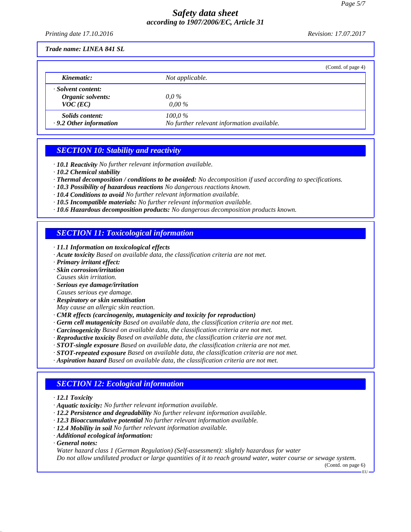*Printing date 17.10.2016 Revision: 17.07.2017*

*Trade name: LINEA 841 SL*

|                                                         | (Contd. of page 4)                                      |
|---------------------------------------------------------|---------------------------------------------------------|
| Kinematic:                                              | Not applicable.                                         |
| · Solvent content:<br>Organic solvents:<br>$VOC$ (EC)   | $0.0\,\%$<br>$0.00\%$                                   |
| <i>Solids content:</i><br>$\cdot$ 9.2 Other information | $100.0\%$<br>No further relevant information available. |

# *SECTION 10: Stability and reactivity*

- *· 10.1 Reactivity No further relevant information available.*
- *· 10.2 Chemical stability*
- *· Thermal decomposition / conditions to be avoided: No decomposition if used according to specifications.*
- *· 10.3 Possibility of hazardous reactions No dangerous reactions known.*
- *· 10.4 Conditions to avoid No further relevant information available.*
- *· 10.5 Incompatible materials: No further relevant information available.*
- *· 10.6 Hazardous decomposition products: No dangerous decomposition products known.*

### *SECTION 11: Toxicological information*

- *· 11.1 Information on toxicological effects*
- *· Acute toxicity Based on available data, the classification criteria are not met.*
- *· Primary irritant effect:*
- *· Skin corrosion/irritation*
- *Causes skin irritation.*
- *· Serious eye damage/irritation Causes serious eye damage.*
- *· Respiratory or skin sensitisation*
- *May cause an allergic skin reaction.*
- 
- *· CMR effects (carcinogenity, mutagenicity and toxicity for reproduction)*
- *· Germ cell mutagenicity Based on available data, the classification criteria are not met.*
- *· Carcinogenicity Based on available data, the classification criteria are not met.*
- *· Reproductive toxicity Based on available data, the classification criteria are not met.*
- *· STOT-single exposure Based on available data, the classification criteria are not met.*
- *· STOT-repeated exposure Based on available data, the classification criteria are not met.*
- *· Aspiration hazard Based on available data, the classification criteria are not met.*

# *SECTION 12: Ecological information*

- *· 12.1 Toxicity*
- *· Aquatic toxicity: No further relevant information available.*
- *· 12.2 Persistence and degradability No further relevant information available.*
- *· 12.3 Bioaccumulative potential No further relevant information available.*
- *· 12.4 Mobility in soil No further relevant information available.*
- *· Additional ecological information:*
- *· General notes:*

*Water hazard class 1 (German Regulation) (Self-assessment): slightly hazardous for water Do not allow undiluted product or large quantities of it to reach ground water, water course or sewage system.*

> (Contd. on page 6) EU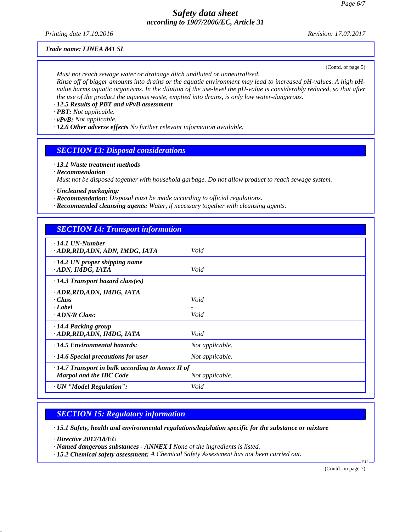*Printing date 17.10.2016 Revision: 17.07.2017*

#### *Trade name: LINEA 841 SL*

(Contd. of page 5)

*Must not reach sewage water or drainage ditch undiluted or unneutralised. Rinse off of bigger amounts into drains or the aquatic environment may lead to increased pH-values. A high pHvalue harms aquatic organisms. In the dilution of the use-level the pH-value is considerably reduced, so that after the use of the product the aqueous waste, emptied into drains, is only low water-dangerous.*

*· 12.5 Results of PBT and vPvB assessment*

*· PBT: Not applicable.*

*· vPvB: Not applicable.*

*· 12.6 Other adverse effects No further relevant information available.*

# *SECTION 13: Disposal considerations*

*· 13.1 Waste treatment methods*

*· Recommendation*

*Must not be disposed together with household garbage. Do not allow product to reach sewage system.*

*· Uncleaned packaging:*

- *· Recommendation: Disposal must be made according to official regulations.*
- *· Recommended cleansing agents: Water, if necessary together with cleansing agents.*

| <b>SECTION 14: Transport information</b>                                                  |                 |
|-------------------------------------------------------------------------------------------|-----------------|
| $\cdot$ 14.1 UN-Number<br>· ADR, RID, ADN, ADN, IMDG, IATA                                | Void            |
| $\cdot$ 14.2 UN proper shipping name<br>ADN, IMDG, IATA                                   | Void            |
| $\cdot$ 14.3 Transport hazard class(es)                                                   |                 |
| · ADR, RID, ADN, IMDG, IATA<br>· Class<br>· Label<br>$\cdot$ ADN/R Class:                 | Void<br>Void    |
| $\cdot$ 14.4 Packing group<br>· ADR, RID, ADN, IMDG, IATA                                 | Void            |
| · 14.5 Environmental hazards:                                                             | Not applicable. |
| $\cdot$ 14.6 Special precautions for user                                                 | Not applicable. |
| $\cdot$ 14.7 Transport in bulk according to Annex II of<br><b>Marpol and the IBC Code</b> | Not applicable. |
| · UN "Model Regulation":                                                                  | Void            |

# *SECTION 15: Regulatory information*

*· 15.1 Safety, health and environmental regulations/legislation specific for the substance or mixture*

*· Directive 2012/18/EU*

*· Named dangerous substances - ANNEX I None of the ingredients is listed.*

*· 15.2 Chemical safety assessment: A Chemical Safety Assessment has not been carried out.*

(Contd. on page 7)

EU